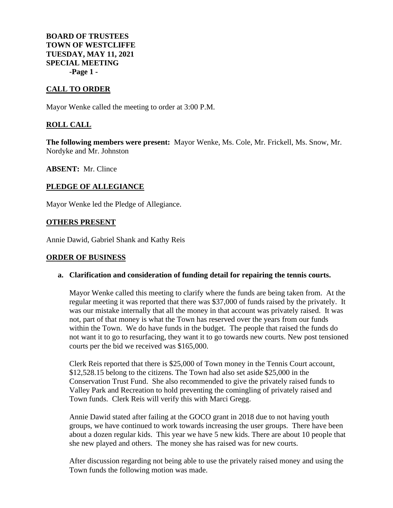**BOARD OF TRUSTEES TOWN OF WESTCLIFFE TUESDAY, MAY 11, 2021 SPECIAL MEETING -Page 1 -**

## **CALL TO ORDER**

Mayor Wenke called the meeting to order at 3:00 P.M.

## **ROLL CALL**

**The following members were present:** Mayor Wenke, Ms. Cole, Mr. Frickell, Ms. Snow, Mr. Nordyke and Mr. Johnston

**ABSENT:** Mr. Clince

# **PLEDGE OF ALLEGIANCE**

Mayor Wenke led the Pledge of Allegiance.

## **OTHERS PRESENT**

Annie Dawid, Gabriel Shank and Kathy Reis

#### **ORDER OF BUSINESS**

#### **a. Clarification and consideration of funding detail for repairing the tennis courts.**

Mayor Wenke called this meeting to clarify where the funds are being taken from. At the regular meeting it was reported that there was \$37,000 of funds raised by the privately. It was our mistake internally that all the money in that account was privately raised. It was not, part of that money is what the Town has reserved over the years from our funds within the Town. We do have funds in the budget. The people that raised the funds do not want it to go to resurfacing, they want it to go towards new courts. New post tensioned courts per the bid we received was \$165,000.

Clerk Reis reported that there is \$25,000 of Town money in the Tennis Court account, \$12,528.15 belong to the citizens. The Town had also set aside \$25,000 in the Conservation Trust Fund. She also recommended to give the privately raised funds to Valley Park and Recreation to hold preventing the comingling of privately raised and Town funds. Clerk Reis will verify this with Marci Gregg.

Annie Dawid stated after failing at the GOCO grant in 2018 due to not having youth groups, we have continued to work towards increasing the user groups. There have been about a dozen regular kids. This year we have 5 new kids. There are about 10 people that she new played and others. The money she has raised was for new courts.

After discussion regarding not being able to use the privately raised money and using the Town funds the following motion was made.